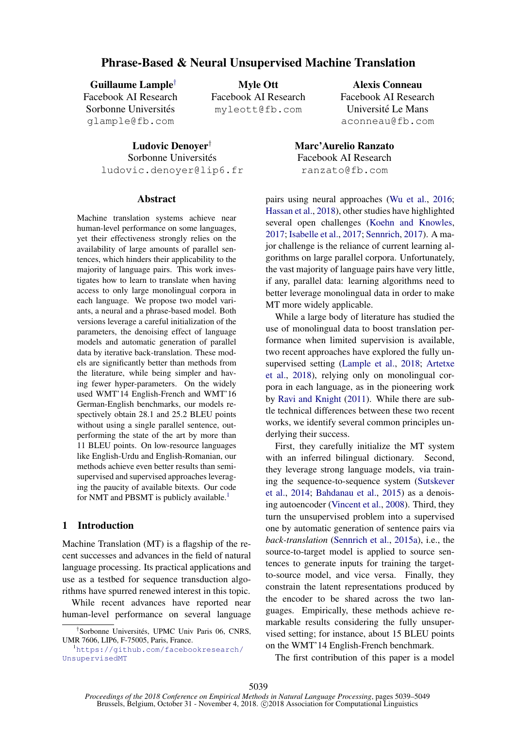# Phrase-Based & Neural Unsupervised Machine Translation

Guillaume Lample† Facebook AI Research Sorbonne Universités glample@fb.com

Myle Ott Facebook AI Research myleott@fb.com

Ludovic Denoyer†

Sorbonne Universités ludovic.denoyer@lip6.fr

#### Abstract

Machine translation systems achieve near human-level performance on some languages, yet their effectiveness strongly relies on the availability of large amounts of parallel sentences, which hinders their applicability to the majority of language pairs. This work investigates how to learn to translate when having access to only large monolingual corpora in each language. We propose two model variants, a neural and a phrase-based model. Both versions leverage a careful initialization of the parameters, the denoising effect of language models and automatic generation of parallel data by iterative back-translation. These models are significantly better than methods from the literature, while being simpler and having fewer hyper-parameters. On the widely used WMT'14 English-French and WMT'16 German-English benchmarks, our models respectively obtain 28.1 and 25.2 BLEU points without using a single parallel sentence, outperforming the state of the art by more than 11 BLEU points. On low-resource languages like English-Urdu and English-Romanian, our methods achieve even better results than semisupervised and supervised approaches leveraging the paucity of available bitexts. Our code for NMT and PBSMT is publicly available.<sup>1</sup>

# 1 Introduction

Machine Translation (MT) is a flagship of the recent successes and advances in the field of natural language processing. Its practical applications and use as a testbed for sequence transduction algorithms have spurred renewed interest in this topic.

While recent advances have reported near human-level performance on several language

Alexis Conneau Facebook AI Research Université Le Mans aconneau@fb.com

Marc'Aurelio Ranzato Facebook AI Research ranzato@fb.com

pairs using neural approaches (Wu et al., 2016; Hassan et al., 2018), other studies have highlighted several open challenges (Koehn and Knowles, 2017; Isabelle et al., 2017; Sennrich, 2017). A major challenge is the reliance of current learning algorithms on large parallel corpora. Unfortunately, the vast majority of language pairs have very little, if any, parallel data: learning algorithms need to better leverage monolingual data in order to make MT more widely applicable.

While a large body of literature has studied the use of monolingual data to boost translation performance when limited supervision is available, two recent approaches have explored the fully unsupervised setting (Lample et al., 2018; Artetxe et al., 2018), relying only on monolingual corpora in each language, as in the pioneering work by Ravi and Knight (2011). While there are subtle technical differences between these two recent works, we identify several common principles underlying their success.

First, they carefully initialize the MT system with an inferred bilingual dictionary. Second, they leverage strong language models, via training the sequence-to-sequence system (Sutskever et al., 2014; Bahdanau et al., 2015) as a denoising autoencoder (Vincent et al., 2008). Third, they turn the unsupervised problem into a supervised one by automatic generation of sentence pairs via *back-translation* (Sennrich et al., 2015a), i.e., the source-to-target model is applied to source sentences to generate inputs for training the targetto-source model, and vice versa. Finally, they constrain the latent representations produced by the encoder to be shared across the two languages. Empirically, these methods achieve remarkable results considering the fully unsupervised setting; for instance, about 15 BLEU points on the WMT'14 English-French benchmark.

The first contribution of this paper is a model

<sup>&</sup>lt;sup>†</sup>Sorbonne Universités, UPMC Univ Paris 06, CNRS, UMR 7606, LIP6, F-75005, Paris, France.

<sup>1</sup>https://github.com/facebookresearch/ UnsupervisedMT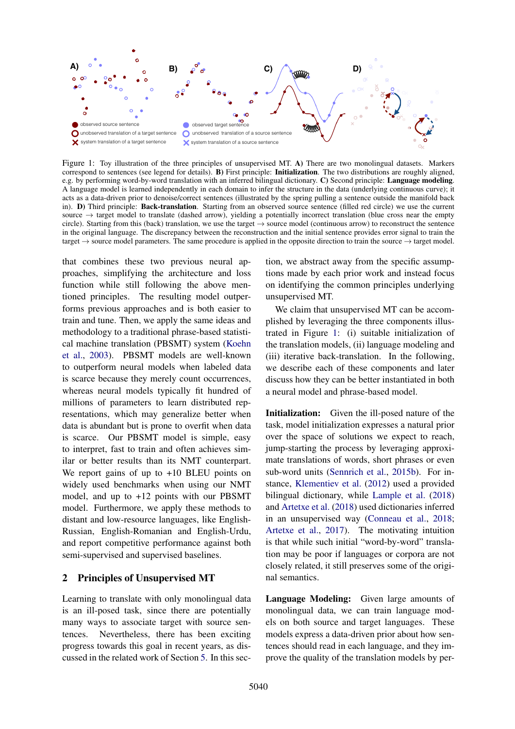

Figure 1: Toy illustration of the three principles of unsupervised MT. A) There are two monolingual datasets. Markers correspond to sentences (see legend for details). B) First principle: Initialization. The two distributions are roughly aligned, e.g. by performing word-by-word translation with an inferred bilingual dictionary. C) Second principle: Language modeling. A language model is learned independently in each domain to infer the structure in the data (underlying continuous curve); it acts as a data-driven prior to denoise/correct sentences (illustrated by the spring pulling a sentence outside the manifold back in). D) Third principle: Back-translation. Starting from an observed source sentence (filled red circle) we use the current source  $\rightarrow$  target model to translate (dashed arrow), yielding a potentially incorrect translation (blue cross near the empty circle). Starting from this (back) translation, we use the target  $\rightarrow$  source model (continuous arrow) to reconstruct the sentence in the original language. The discrepancy between the reconstruction and the initial sentence provides error signal to train the target  $\rightarrow$  source model parameters. The same procedure is applied in the opposite direction to train the source  $\rightarrow$  target model.

that combines these two previous neural approaches, simplifying the architecture and loss function while still following the above mentioned principles. The resulting model outperforms previous approaches and is both easier to train and tune. Then, we apply the same ideas and methodology to a traditional phrase-based statistical machine translation (PBSMT) system (Koehn et al., 2003). PBSMT models are well-known to outperform neural models when labeled data is scarce because they merely count occurrences, whereas neural models typically fit hundred of millions of parameters to learn distributed representations, which may generalize better when data is abundant but is prone to overfit when data is scarce. Our PBSMT model is simple, easy to interpret, fast to train and often achieves similar or better results than its NMT counterpart. We report gains of up to  $+10$  BLEU points on widely used benchmarks when using our NMT model, and up to +12 points with our PBSMT model. Furthermore, we apply these methods to distant and low-resource languages, like English-Russian, English-Romanian and English-Urdu, and report competitive performance against both semi-supervised and supervised baselines.

### 2 Principles of Unsupervised MT

Learning to translate with only monolingual data is an ill-posed task, since there are potentially many ways to associate target with source sentences. Nevertheless, there has been exciting progress towards this goal in recent years, as discussed in the related work of Section 5. In this section, we abstract away from the specific assumptions made by each prior work and instead focus on identifying the common principles underlying unsupervised MT.

We claim that unsupervised MT can be accomplished by leveraging the three components illustrated in Figure 1: (i) suitable initialization of the translation models, (ii) language modeling and (iii) iterative back-translation. In the following, we describe each of these components and later discuss how they can be better instantiated in both a neural model and phrase-based model.

Initialization: Given the ill-posed nature of the task, model initialization expresses a natural prior over the space of solutions we expect to reach, jump-starting the process by leveraging approximate translations of words, short phrases or even sub-word units (Sennrich et al., 2015b). For instance, Klementiev et al. (2012) used a provided bilingual dictionary, while Lample et al. (2018) and Artetxe et al. (2018) used dictionaries inferred in an unsupervised way (Conneau et al., 2018; Artetxe et al., 2017). The motivating intuition is that while such initial "word-by-word" translation may be poor if languages or corpora are not closely related, it still preserves some of the original semantics.

Language Modeling: Given large amounts of monolingual data, we can train language models on both source and target languages. These models express a data-driven prior about how sentences should read in each language, and they improve the quality of the translation models by per-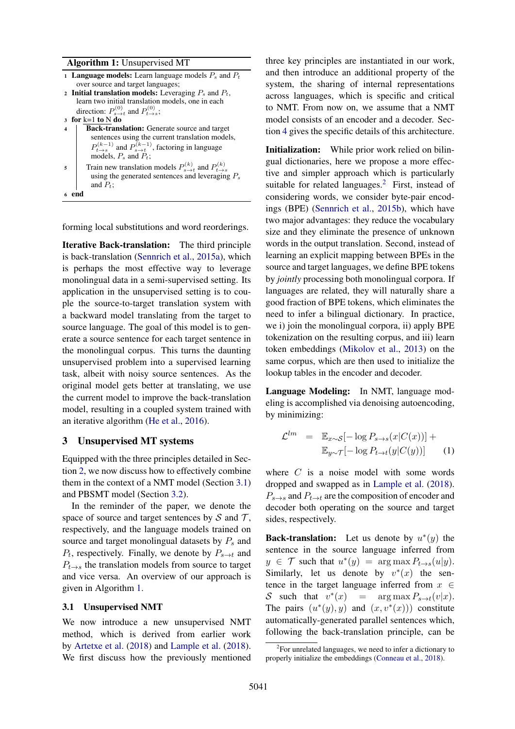#### Algorithm 1: Unsupervised MT

- 1 **Language models:** Learn language models  $P_s$  and  $P_t$ over source and target languages; 2 Initial translation models: Leveraging  $P_s$  and  $P_t$ ,
- learn two initial translation models, one in each direction:  $P_{s\rightarrow t}^{(0)}$  and  $P_{t\rightarrow s}^{(0)}$ ;
- <sup>3</sup> for k=1 to N do
- 4 | Back-translation: Generate source and target sentences using the current translation models,  $P_{t\rightarrow s}^{(k-1)}$  and  $P_{s\rightarrow t}^{(k-1)}$ , factoring in language  $T_{t\rightarrow s}$  and  $T_{s\rightarrow t}$ <br>models,  $P_s$  and  $P_t$ ;
- 5 Train new translation models  $P_{s \to t}^{(k)}$  and  $P_{t \to t}^{(k)}$ the two dansition models  $T_{s\to t}$  and  $T_{t\to s}$  using the generated sentences and leveraging  $P_s$ and  $P_t$ ; <sup>6</sup> end

forming local substitutions and word reorderings.

Iterative Back-translation: The third principle is back-translation (Sennrich et al., 2015a), which is perhaps the most effective way to leverage monolingual data in a semi-supervised setting. Its application in the unsupervised setting is to couple the source-to-target translation system with a backward model translating from the target to source language. The goal of this model is to generate a source sentence for each target sentence in the monolingual corpus. This turns the daunting unsupervised problem into a supervised learning task, albeit with noisy source sentences. As the original model gets better at translating, we use the current model to improve the back-translation model, resulting in a coupled system trained with an iterative algorithm (He et al., 2016).

### 3 Unsupervised MT systems

Equipped with the three principles detailed in Section 2, we now discuss how to effectively combine them in the context of a NMT model (Section 3.1) and PBSMT model (Section 3.2).

In the reminder of the paper, we denote the space of source and target sentences by  $S$  and  $T$ , respectively, and the language models trained on source and target monolingual datasets by  $P_s$  and  $P_t$ , respectively. Finally, we denote by  $P_{s \to t}$  and  $P_{t\rightarrow s}$  the translation models from source to target and vice versa. An overview of our approach is given in Algorithm 1.

#### 3.1 Unsupervised NMT

We now introduce a new unsupervised NMT method, which is derived from earlier work by Artetxe et al. (2018) and Lample et al. (2018). We first discuss how the previously mentioned

three key principles are instantiated in our work, and then introduce an additional property of the system, the sharing of internal representations across languages, which is specific and critical to NMT. From now on, we assume that a NMT model consists of an encoder and a decoder. Section 4 gives the specific details of this architecture.

Initialization: While prior work relied on bilingual dictionaries, here we propose a more effective and simpler approach which is particularly suitable for related languages. $2$  First, instead of considering words, we consider byte-pair encodings (BPE) (Sennrich et al., 2015b), which have two major advantages: they reduce the vocabulary size and they eliminate the presence of unknown words in the output translation. Second, instead of learning an explicit mapping between BPEs in the source and target languages, we define BPE tokens by *jointly* processing both monolingual corpora. If languages are related, they will naturally share a good fraction of BPE tokens, which eliminates the need to infer a bilingual dictionary. In practice, we i) join the monolingual corpora, ii) apply BPE tokenization on the resulting corpus, and iii) learn token embeddings (Mikolov et al., 2013) on the same corpus, which are then used to initialize the lookup tables in the encoder and decoder.

Language Modeling: In NMT, language modeling is accomplished via denoising autoencoding, by minimizing:

$$
\mathcal{L}^{lm} = \mathbb{E}_{x \sim S}[-\log P_{s \to s}(x|C(x))] + \mathbb{E}_{y \sim \mathcal{T}}[-\log P_{t \to t}(y|C(y))] \qquad (1)
$$

where  $C$  is a noise model with some words dropped and swapped as in Lample et al. (2018).  $P_{s\rightarrow s}$  and  $P_{t\rightarrow t}$  are the composition of encoder and decoder both operating on the source and target sides, respectively.

**Back-translation:** Let us denote by  $u^*(y)$  the sentence in the source language inferred from  $y \in \mathcal{T}$  such that  $u^*(y) = \arg \max_{y \in \mathcal{Y}} P_{t \to s}(u|y)$ . Similarly, let us denote by  $v^*(x)$  the sentence in the target language inferred from  $x \in$ S such that  $v^*(x)$  =  $\arg \max P_{s \to t}(v|x)$ . The pairs  $(u^*(y), y)$  and  $(x, v^*(x)))$  constitute automatically-generated parallel sentences which, following the back-translation principle, can be

<sup>&</sup>lt;sup>2</sup>For unrelated languages, we need to infer a dictionary to properly initialize the embeddings (Conneau et al., 2018).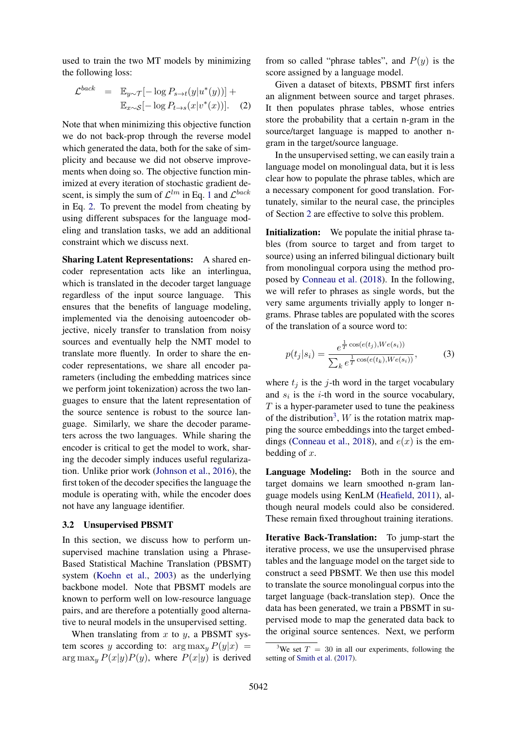used to train the two MT models by minimizing the following loss:

$$
\mathcal{L}^{back} = \mathbb{E}_{y \sim \mathcal{T}}[-\log P_{s \to t}(y|u^*(y))] + \mathbb{E}_{x \sim \mathcal{S}}[-\log P_{t \to s}(x|v^*(x))]. \quad (2)
$$

Note that when minimizing this objective function we do not back-prop through the reverse model which generated the data, both for the sake of simplicity and because we did not observe improvements when doing so. The objective function minimized at every iteration of stochastic gradient descent, is simply the sum of  $\mathcal{L}^{lm}$  in Eq. 1 and  $\mathcal{L}^{back}$ in Eq. 2. To prevent the model from cheating by using different subspaces for the language modeling and translation tasks, we add an additional constraint which we discuss next.

Sharing Latent Representations: A shared encoder representation acts like an interlingua, which is translated in the decoder target language regardless of the input source language. This ensures that the benefits of language modeling, implemented via the denoising autoencoder objective, nicely transfer to translation from noisy sources and eventually help the NMT model to translate more fluently. In order to share the encoder representations, we share all encoder parameters (including the embedding matrices since we perform joint tokenization) across the two languages to ensure that the latent representation of the source sentence is robust to the source language. Similarly, we share the decoder parameters across the two languages. While sharing the encoder is critical to get the model to work, sharing the decoder simply induces useful regularization. Unlike prior work (Johnson et al., 2016), the first token of the decoder specifies the language the module is operating with, while the encoder does not have any language identifier.

#### 3.2 Unsupervised PBSMT

In this section, we discuss how to perform unsupervised machine translation using a Phrase-Based Statistical Machine Translation (PBSMT) system (Koehn et al., 2003) as the underlying backbone model. Note that PBSMT models are known to perform well on low-resource language pairs, and are therefore a potentially good alternative to neural models in the unsupervised setting.

When translating from  $x$  to  $y$ , a PBSMT system scores y according to:  $\arg \max_{y} P(y|x) =$  $\arg \max_{y} P(x|y)P(y)$ , where  $P(x|y)$  is derived

from so called "phrase tables", and  $P(y)$  is the score assigned by a language model.

Given a dataset of bitexts, PBSMT first infers an alignment between source and target phrases. It then populates phrase tables, whose entries store the probability that a certain n-gram in the source/target language is mapped to another ngram in the target/source language.

In the unsupervised setting, we can easily train a language model on monolingual data, but it is less clear how to populate the phrase tables, which are a necessary component for good translation. Fortunately, similar to the neural case, the principles of Section 2 are effective to solve this problem.

Initialization: We populate the initial phrase tables (from source to target and from target to source) using an inferred bilingual dictionary built from monolingual corpora using the method proposed by Conneau et al. (2018). In the following, we will refer to phrases as single words, but the very same arguments trivially apply to longer ngrams. Phrase tables are populated with the scores of the translation of a source word to:

$$
p(t_j|s_i) = \frac{e^{\frac{1}{T}\cos(e(t_j), W e(s_i))}}{\sum_k e^{\frac{1}{T}\cos(e(t_k), W e(s_i))}},
$$
(3)

where  $t_j$  is the j-th word in the target vocabulary and  $s_i$  is the *i*-th word in the source vocabulary,  $T$  is a hyper-parameter used to tune the peakiness of the distribution<sup>3</sup>,  $W$  is the rotation matrix mapping the source embeddings into the target embeddings (Conneau et al., 2018), and  $e(x)$  is the embedding of  $x$ .

Language Modeling: Both in the source and target domains we learn smoothed n-gram language models using KenLM (Heafield, 2011), although neural models could also be considered. These remain fixed throughout training iterations.

Iterative Back-Translation: To jump-start the iterative process, we use the unsupervised phrase tables and the language model on the target side to construct a seed PBSMT. We then use this model to translate the source monolingual corpus into the target language (back-translation step). Once the data has been generated, we train a PBSMT in supervised mode to map the generated data back to the original source sentences. Next, we perform

<sup>&</sup>lt;sup>3</sup>We set  $T = 30$  in all our experiments, following the setting of Smith et al. (2017).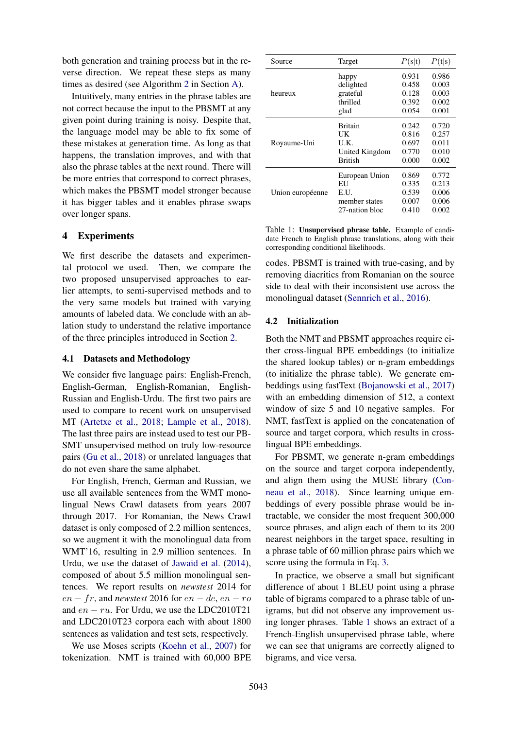both generation and training process but in the reverse direction. We repeat these steps as many times as desired (see Algorithm 2 in Section A).

Intuitively, many entries in the phrase tables are not correct because the input to the PBSMT at any given point during training is noisy. Despite that, the language model may be able to fix some of these mistakes at generation time. As long as that happens, the translation improves, and with that also the phrase tables at the next round. There will be more entries that correspond to correct phrases, which makes the PBSMT model stronger because it has bigger tables and it enables phrase swaps over longer spans.

### 4 Experiments

We first describe the datasets and experimental protocol we used. Then, we compare the two proposed unsupervised approaches to earlier attempts, to semi-supervised methods and to the very same models but trained with varying amounts of labeled data. We conclude with an ablation study to understand the relative importance of the three principles introduced in Section 2.

#### 4.1 Datasets and Methodology

We consider five language pairs: English-French, English-German, English-Romanian, English-Russian and English-Urdu. The first two pairs are used to compare to recent work on unsupervised MT (Artetxe et al., 2018; Lample et al., 2018). The last three pairs are instead used to test our PB-SMT unsupervised method on truly low-resource pairs (Gu et al., 2018) or unrelated languages that do not even share the same alphabet.

For English, French, German and Russian, we use all available sentences from the WMT monolingual News Crawl datasets from years 2007 through 2017. For Romanian, the News Crawl dataset is only composed of 2.2 million sentences, so we augment it with the monolingual data from WMT'16, resulting in 2.9 million sentences. In Urdu, we use the dataset of Jawaid et al. (2014), composed of about 5.5 million monolingual sentences. We report results on *newstest* 2014 for  $en - fr$ , and *newstest* 2016 for  $en - de$ ,  $en - ro$ and  $en - ru$ . For Urdu, we use the LDC2010T21 and LDC2010T23 corpora each with about 1800 sentences as validation and test sets, respectively.

We use Moses scripts (Koehn et al., 2007) for tokenization. NMT is trained with 60,000 BPE

| Source           | Target         | P(s t) | P(t s) |
|------------------|----------------|--------|--------|
| heureux          | happy          | 0.931  | 0.986  |
|                  | delighted      | 0.458  | 0.003  |
|                  | grateful       | 0.128  | 0.003  |
|                  | thrilled       | 0.392  | 0.002  |
|                  | glad           | 0.054  | 0.001  |
| Royaume-Uni      | <b>Britain</b> | 0.242  | 0.720  |
|                  | UK             | 0.816  | 0.257  |
|                  | U.K.           | 0.697  | 0.011  |
|                  | United Kingdom | 0.770  | 0.010  |
|                  | <b>British</b> | 0.000  | 0.002  |
| Union européenne | European Union | 0.869  | 0.772  |
|                  | EU             | 0.335  | 0.213  |
|                  | E.U.           | 0.539  | 0.006  |
|                  | member states  | 0.007  | 0.006  |
|                  | 27-nation bloc | 0.410  | 0.002  |

Table 1: Unsupervised phrase table. Example of candidate French to English phrase translations, along with their corresponding conditional likelihoods.

codes. PBSMT is trained with true-casing, and by removing diacritics from Romanian on the source side to deal with their inconsistent use across the monolingual dataset (Sennrich et al., 2016).

#### 4.2 Initialization

Both the NMT and PBSMT approaches require either cross-lingual BPE embeddings (to initialize the shared lookup tables) or n-gram embeddings (to initialize the phrase table). We generate embeddings using fastText (Bojanowski et al., 2017) with an embedding dimension of 512, a context window of size 5 and 10 negative samples. For NMT, fastText is applied on the concatenation of source and target corpora, which results in crosslingual BPE embeddings.

For PBSMT, we generate n-gram embeddings on the source and target corpora independently, and align them using the MUSE library (Conneau et al., 2018). Since learning unique embeddings of every possible phrase would be intractable, we consider the most frequent 300,000 source phrases, and align each of them to its 200 nearest neighbors in the target space, resulting in a phrase table of 60 million phrase pairs which we score using the formula in Eq. 3.

In practice, we observe a small but significant difference of about 1 BLEU point using a phrase table of bigrams compared to a phrase table of unigrams, but did not observe any improvement using longer phrases. Table 1 shows an extract of a French-English unsupervised phrase table, where we can see that unigrams are correctly aligned to bigrams, and vice versa.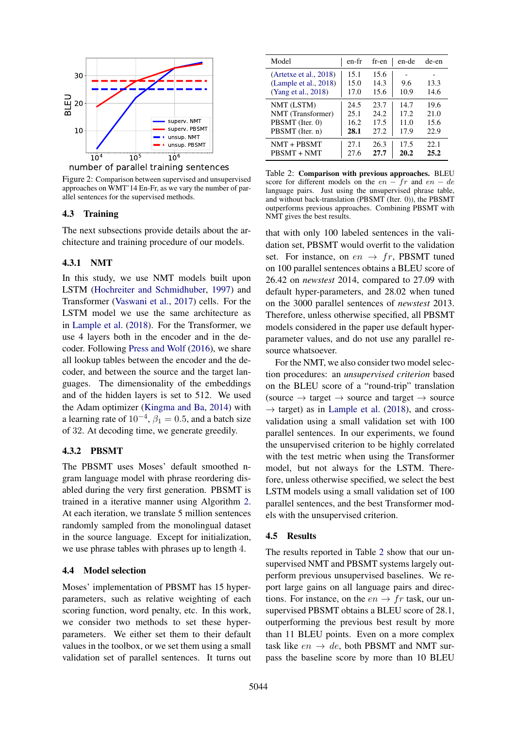



Figure 2: Comparison between supervised and unsupervised approaches on WMT'14 En-Fr, as we vary the number of parallel sentences for the supervised methods.

### 4.3 Training

The next subsections provide details about the architecture and training procedure of our models.

## 4.3.1 NMT

10<sup>5</sup><br>
10<sup>4</sup> 10<sup>5</sup> LO<sup>5</sup> LO<sup>6</sup> LOF The Hand Scheme end Mondal schemes or of parallel training sentences<br>
Seron WATT 14En-Fr, as we vary the number of par-<br>
eneces for the supervised methods.<br>
Training<br>
act subsections prov In this study, we use NMT models built upon LSTM (Hochreiter and Schmidhuber, 1997) and Transformer (Vaswani et al., 2017) cells. For the LSTM model we use the same architecture as in Lample et al. (2018). For the Transformer, we use 4 layers both in the encoder and in the decoder. Following Press and Wolf (2016), we share all lookup tables between the encoder and the decoder, and between the source and the target languages. The dimensionality of the embeddings and of the hidden layers is set to 512. We used the Adam optimizer (Kingma and Ba, 2014) with a learning rate of  $10^{-4}$ ,  $\beta_1 = 0.5$ , and a batch size of 32. At decoding time, we generate greedily.

### 4.3.2 PBSMT

The PBSMT uses Moses' default smoothed ngram language model with phrase reordering disabled during the very first generation. PBSMT is trained in a iterative manner using Algorithm 2. At each iteration, we translate 5 million sentences randomly sampled from the monolingual dataset in the source language. Except for initialization, we use phrase tables with phrases up to length 4.

### 4.4 Model selection

Moses' implementation of PBSMT has 15 hyperparameters, such as relative weighting of each scoring function, word penalty, etc. In this work, we consider two methods to set these hyperparameters. We either set them to their default values in the toolbox, or we set them using a small validation set of parallel sentences. It turns out

| Model                                                                  | en-fr                | fr-en                | en-de       | de-en        |
|------------------------------------------------------------------------|----------------------|----------------------|-------------|--------------|
| (Artetxe et al., 2018)<br>(Lample et al., 2018)<br>(Yang et al., 2018) | 15.1<br>15.0<br>17.0 | 15.6<br>14.3<br>15.6 | 9.6<br>10.9 | 13.3<br>14.6 |
| NMT (LSTM)                                                             | 24.5                 | 23.7                 | 14.7        | 19.6         |
| NMT (Transformer)                                                      | 25.1                 | 24.2                 | 17.2        | 21.0         |
| PBSMT (Iter. 0)                                                        | 16.2                 | 17.5                 | 11.0        | 15.6         |
| PBSMT (Iter. n)                                                        | 28.1                 | 27.2                 | 17.9        | 22.9         |
| $NMT + PBSMT$                                                          | 27.1                 | 26.3                 | 17.5        | 22.1         |
| PBSMT + NMT                                                            | 27.6                 | 27.7                 | 20.2        | 25.2         |

Table 2: Comparison with previous approaches. BLEU score for different models on the  $en - fr$  and  $en - de$ language pairs. Just using the unsupervised phrase table, and without back-translation (PBSMT (Iter. 0)), the PBSMT outperforms previous approaches. Combining PBSMT with NMT gives the best results.

that with only 100 labeled sentences in the validation set, PBSMT would overfit to the validation set. For instance, on  $en \rightarrow fr$ , PBSMT tuned on 100 parallel sentences obtains a BLEU score of 26.42 on *newstest* 2014, compared to 27.09 with default hyper-parameters, and 28.02 when tuned on the 3000 parallel sentences of *newstest* 2013. Therefore, unless otherwise specified, all PBSMT models considered in the paper use default hyperparameter values, and do not use any parallel resource whatsoever.

For the NMT, we also consider two model selection procedures: an *unsupervised criterion* based on the BLEU score of a "round-trip" translation (source  $\rightarrow$  target  $\rightarrow$  source and target  $\rightarrow$  source  $\rightarrow$  target) as in Lample et al. (2018), and crossvalidation using a small validation set with 100 parallel sentences. In our experiments, we found the unsupervised criterion to be highly correlated with the test metric when using the Transformer model, but not always for the LSTM. Therefore, unless otherwise specified, we select the best LSTM models using a small validation set of 100 parallel sentences, and the best Transformer models with the unsupervised criterion.

### 4.5 Results

The results reported in Table 2 show that our unsupervised NMT and PBSMT systems largely outperform previous unsupervised baselines. We report large gains on all language pairs and directions. For instance, on the  $en \rightarrow fr$  task, our unsupervised PBSMT obtains a BLEU score of 28.1, outperforming the previous best result by more than 11 BLEU points. Even on a more complex task like  $en \rightarrow de$ , both PBSMT and NMT surpass the baseline score by more than 10 BLEU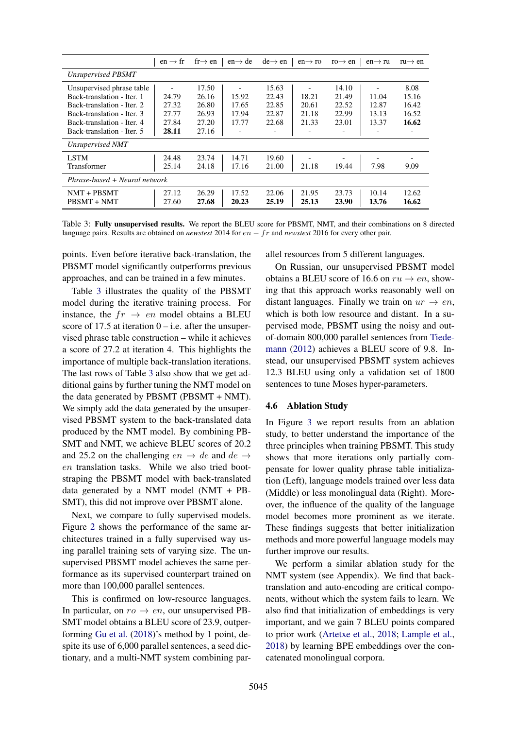|                               | $en \rightarrow fr$ | $fr \rightarrow en$ | $en \rightarrow de$ | $de \rightarrow en$ | $en \rightarrow ro$ | $ro \rightarrow en$ | $en \rightarrow ru$ | $ru \rightarrow en$ |
|-------------------------------|---------------------|---------------------|---------------------|---------------------|---------------------|---------------------|---------------------|---------------------|
| Unsupervised PBSMT            |                     |                     |                     |                     |                     |                     |                     |                     |
| Unsupervised phrase table     |                     | 17.50               |                     | 15.63               |                     | 14.10               |                     | 8.08                |
| Back-translation - Iter. 1    | 24.79               | 26.16               | 15.92               | 22.43               | 18.21               | 21.49               | 11.04               | 15.16               |
| Back-translation - Iter. 2    | 27.32               | 26.80               | 17.65               | 22.85               | 20.61               | 22.52               | 12.87               | 16.42               |
| Back-translation - Iter. 3    | 27.77               | 26.93               | 17.94               | 22.87               | 21.18               | 22.99               | 13.13               | 16.52               |
| Back-translation - Iter. 4    | 27.84               | 27.20               | 17.77               | 22.68               | 21.33               | 23.01               | 13.37               | 16.62               |
| Back-translation - Iter. 5    | 28.11               | 27.16               |                     |                     |                     |                     |                     |                     |
| Unsupervised NMT              |                     |                     |                     |                     |                     |                     |                     |                     |
| <b>LSTM</b>                   | 24.48               | 23.74               | 14.71               | 19.60               |                     |                     |                     |                     |
| Transformer                   | 25.14               | 24.18               | 17.16               | 21.00               | 21.18               | 19.44               | 7.98                | 9.09                |
| Phrase-based + Neural network |                     |                     |                     |                     |                     |                     |                     |                     |
| $NMT + PBSMT$                 | 27.12               | 26.29               | 17.52               | 22.06               | 21.95               | 23.73               | 10.14               | 12.62               |
| PBSMT + NMT                   | 27.60               | 27.68               | 20.23               | 25.19               | 25.13               | 23.90               | 13.76               | 16.62               |

Table 3: Fully unsupervised results. We report the BLEU score for PBSMT, NMT, and their combinations on 8 directed language pairs. Results are obtained on *newstest* 2014 for en − fr and *newstest* 2016 for every other pair.

points. Even before iterative back-translation, the PBSMT model significantly outperforms previous approaches, and can be trained in a few minutes.

Table 3 illustrates the quality of the PBSMT model during the iterative training process. For instance, the  $fr \rightarrow en$  model obtains a BLEU score of 17.5 at iteration  $0 - i.e.$  after the unsupervised phrase table construction – while it achieves a score of 27.2 at iteration 4. This highlights the importance of multiple back-translation iterations. The last rows of Table 3 also show that we get additional gains by further tuning the NMT model on the data generated by PBSMT (PBSMT + NMT). We simply add the data generated by the unsupervised PBSMT system to the back-translated data produced by the NMT model. By combining PB-SMT and NMT, we achieve BLEU scores of 20.2 and 25.2 on the challenging  $en \rightarrow de$  and  $de \rightarrow$ en translation tasks. While we also tried bootstraping the PBSMT model with back-translated data generated by a NMT model (NMT + PB-SMT), this did not improve over PBSMT alone.

Next, we compare to fully supervised models. Figure 2 shows the performance of the same architectures trained in a fully supervised way using parallel training sets of varying size. The unsupervised PBSMT model achieves the same performance as its supervised counterpart trained on more than 100,000 parallel sentences.

This is confirmed on low-resource languages. In particular, on  $ro \rightarrow en$ , our unsupervised PB-SMT model obtains a BLEU score of 23.9, outperforming Gu et al. (2018)'s method by 1 point, despite its use of 6,000 parallel sentences, a seed dictionary, and a multi-NMT system combining parallel resources from 5 different languages.

On Russian, our unsupervised PBSMT model obtains a BLEU score of 16.6 on  $ru \rightarrow en$ , showing that this approach works reasonably well on distant languages. Finally we train on  $ur \rightarrow en$ , which is both low resource and distant. In a supervised mode, PBSMT using the noisy and outof-domain 800,000 parallel sentences from Tiedemann (2012) achieves a BLEU score of 9.8. Instead, our unsupervised PBSMT system achieves 12.3 BLEU using only a validation set of 1800 sentences to tune Moses hyper-parameters.

### 4.6 Ablation Study

In Figure 3 we report results from an ablation study, to better understand the importance of the three principles when training PBSMT. This study shows that more iterations only partially compensate for lower quality phrase table initialization (Left), language models trained over less data (Middle) or less monolingual data (Right). Moreover, the influence of the quality of the language model becomes more prominent as we iterate. These findings suggests that better initialization methods and more powerful language models may further improve our results.

We perform a similar ablation study for the NMT system (see Appendix). We find that backtranslation and auto-encoding are critical components, without which the system fails to learn. We also find that initialization of embeddings is very important, and we gain 7 BLEU points compared to prior work (Artetxe et al., 2018; Lample et al., 2018) by learning BPE embeddings over the concatenated monolingual corpora.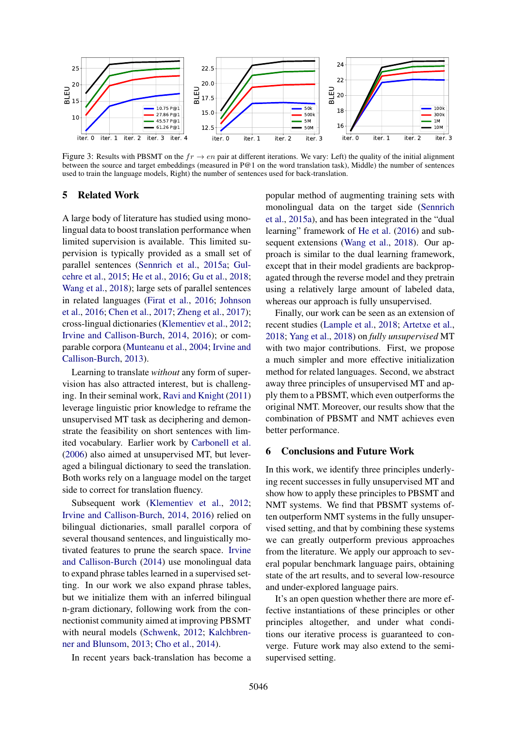

Figure 3: Results with PBSMT on the  $fr \to en$  pair at different iterations. We vary: Left) the quality of the initial alignment between the source and target embeddings (measured in P@1 on the word translation task), Middle) the number of sentences used to train the language models, Right) the number of sentences used for back-translation.

# 5 Related Work

A large body of literature has studied using monolingual data to boost translation performance when limited supervision is available. This limited supervision is typically provided as a small set of parallel sentences (Sennrich et al., 2015a; Gulcehre et al., 2015; He et al., 2016; Gu et al., 2018; Wang et al., 2018); large sets of parallel sentences in related languages (Firat et al., 2016; Johnson et al., 2016; Chen et al., 2017; Zheng et al., 2017); cross-lingual dictionaries (Klementiev et al., 2012; Irvine and Callison-Burch, 2014, 2016); or comparable corpora (Munteanu et al., 2004; Irvine and Callison-Burch, 2013).

Learning to translate *without* any form of supervision has also attracted interest, but is challenging. In their seminal work, Ravi and Knight (2011) leverage linguistic prior knowledge to reframe the unsupervised MT task as deciphering and demonstrate the feasibility on short sentences with limited vocabulary. Earlier work by Carbonell et al. (2006) also aimed at unsupervised MT, but leveraged a bilingual dictionary to seed the translation. Both works rely on a language model on the target side to correct for translation fluency.

Subsequent work (Klementiev et al., 2012; Irvine and Callison-Burch, 2014, 2016) relied on bilingual dictionaries, small parallel corpora of several thousand sentences, and linguistically motivated features to prune the search space. Irvine and Callison-Burch (2014) use monolingual data to expand phrase tables learned in a supervised setting. In our work we also expand phrase tables, but we initialize them with an inferred bilingual n-gram dictionary, following work from the connectionist community aimed at improving PBSMT with neural models (Schwenk, 2012; Kalchbrenner and Blunsom, 2013; Cho et al., 2014).

In recent years back-translation has become a

popular method of augmenting training sets with monolingual data on the target side (Sennrich et al., 2015a), and has been integrated in the "dual learning" framework of He et al. (2016) and subsequent extensions (Wang et al., 2018). Our approach is similar to the dual learning framework, except that in their model gradients are backpropagated through the reverse model and they pretrain using a relatively large amount of labeled data, whereas our approach is fully unsupervised.

Finally, our work can be seen as an extension of recent studies (Lample et al., 2018; Artetxe et al., 2018; Yang et al., 2018) on *fully unsupervised* MT with two major contributions. First, we propose a much simpler and more effective initialization method for related languages. Second, we abstract away three principles of unsupervised MT and apply them to a PBSMT, which even outperforms the original NMT. Moreover, our results show that the combination of PBSMT and NMT achieves even better performance.

# 6 Conclusions and Future Work

In this work, we identify three principles underlying recent successes in fully unsupervised MT and show how to apply these principles to PBSMT and NMT systems. We find that PBSMT systems often outperform NMT systems in the fully unsupervised setting, and that by combining these systems we can greatly outperform previous approaches from the literature. We apply our approach to several popular benchmark language pairs, obtaining state of the art results, and to several low-resource and under-explored language pairs.

It's an open question whether there are more effective instantiations of these principles or other principles altogether, and under what conditions our iterative process is guaranteed to converge. Future work may also extend to the semisupervised setting.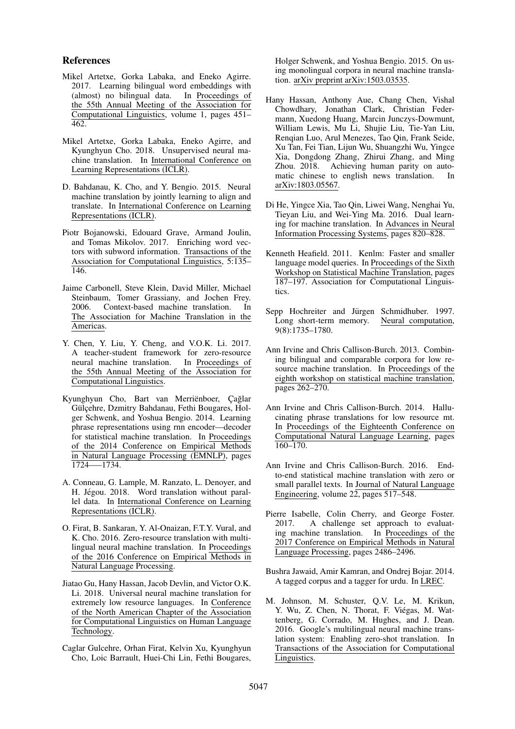#### References

- Mikel Artetxe, Gorka Labaka, and Eneko Agirre. 2017. Learning bilingual word embeddings with (almost) no bilingual data. In Proceedings of the 55th Annual Meeting of the Association for Computational Linguistics, volume 1, pages 451– 462.
- Mikel Artetxe, Gorka Labaka, Eneko Agirre, and Kyunghyun Cho. 2018. Unsupervised neural machine translation. In International Conference on Learning Representations (ICLR).
- D. Bahdanau, K. Cho, and Y. Bengio. 2015. Neural machine translation by jointly learning to align and translate. In International Conference on Learning Representations (ICLR).
- Piotr Bojanowski, Edouard Grave, Armand Joulin, and Tomas Mikolov. 2017. Enriching word vectors with subword information. Transactions of the Association for Computational Linguistics, 5:135– 146.
- Jaime Carbonell, Steve Klein, David Miller, Michael Steinbaum, Tomer Grassiany, and Jochen Frey. 2006. Context-based machine translation. In The Association for Machine Translation in the Americas.
- Y. Chen, Y. Liu, Y. Cheng, and V.O.K. Li. 2017. A teacher-student framework for zero-resource<br>neural machine translation. In Proceedings of neural machine translation. the 55th Annual Meeting of the Association for Computational Linguistics.
- Kyunghyun Cho, Bart van Merriënboer, Çağlar Gülcehre, Dzmitry Bahdanau, Fethi Bougares, Holger Schwenk, and Yoshua Bengio. 2014. Learning phrase representations using rnn encoder—decoder for statistical machine translation. In Proceedings of the 2014 Conference on Empirical Methods in Natural Language Processing (EMNLP), pages 1724–—1734.
- A. Conneau, G. Lample, M. Ranzato, L. Denoyer, and H. Jégou. 2018. Word translation without parallel data. In International Conference on Learning Representations (ICLR).
- O. Firat, B. Sankaran, Y. Al-Onaizan, F.T.Y. Vural, and K. Cho. 2016. Zero-resource translation with multilingual neural machine translation. In Proceedings of the 2016 Conference on Empirical Methods in Natural Language Processing.
- Jiatao Gu, Hany Hassan, Jacob Devlin, and Victor O.K. Li. 2018. Universal neural machine translation for extremely low resource languages. In Conference of the North American Chapter of the Association for Computational Linguistics on Human Language Technology.
- Caglar Gulcehre, Orhan Firat, Kelvin Xu, Kyunghyun Cho, Loic Barrault, Huei-Chi Lin, Fethi Bougares,

Holger Schwenk, and Yoshua Bengio. 2015. On using monolingual corpora in neural machine translation. arXiv preprint arXiv:1503.03535.

- Hany Hassan, Anthony Aue, Chang Chen, Vishal Chowdhary, Jonathan Clark, Christian Federmann, Xuedong Huang, Marcin Junczys-Dowmunt, William Lewis, Mu Li, Shujie Liu, Tie-Yan Liu, Renqian Luo, Arul Menezes, Tao Qin, Frank Seide, Xu Tan, Fei Tian, Lijun Wu, Shuangzhi Wu, Yingce Xia, Dongdong Zhang, Zhirui Zhang, and Ming Zhou. 2018. Achieving human parity on automatic chinese to english news translation. In arXiv:1803.05567.
- Di He, Yingce Xia, Tao Qin, Liwei Wang, Nenghai Yu, Tieyan Liu, and Wei-Ying Ma. 2016. Dual learning for machine translation. In Advances in Neural Information Processing Systems, pages 820–828.
- Kenneth Heafield. 2011. Kenlm: Faster and smaller language model queries. In Proceedings of the Sixth Workshop on Statistical Machine Translation, pages 187–197. Association for Computational Linguistics.
- Sepp Hochreiter and Jürgen Schmidhuber. 1997.<br>
Long short-term memory. Neural computation, Long short-term memory. 9(8):1735–1780.
- Ann Irvine and Chris Callison-Burch. 2013. Combining bilingual and comparable corpora for low resource machine translation. In Proceedings of the eighth workshop on statistical machine translation, pages 262–270.
- Ann Irvine and Chris Callison-Burch. 2014. Hallucinating phrase translations for low resource mt. In Proceedings of the Eighteenth Conference on Computational Natural Language Learning, pages 160–170.
- Ann Irvine and Chris Callison-Burch. 2016. Endto-end statistical machine translation with zero or small parallel texts. In Journal of Natural Language Engineering, volume 22, pages 517–548.
- Pierre Isabelle, Colin Cherry, and George Foster. 2017. A challenge set approach to evaluating machine translation. In Proceedings of the 2017 Conference on Empirical Methods in Natural Language Processing, pages 2486–2496.
- Bushra Jawaid, Amir Kamran, and Ondrej Bojar. 2014. A tagged corpus and a tagger for urdu. In LREC.
- M. Johnson, M. Schuster, Q.V. Le, M. Krikun, Y. Wu, Z. Chen, N. Thorat, F. Viégas, M. Wattenberg, G. Corrado, M. Hughes, and J. Dean. 2016. Google's multilingual neural machine translation system: Enabling zero-shot translation. In Transactions of the Association for Computational Linguistics.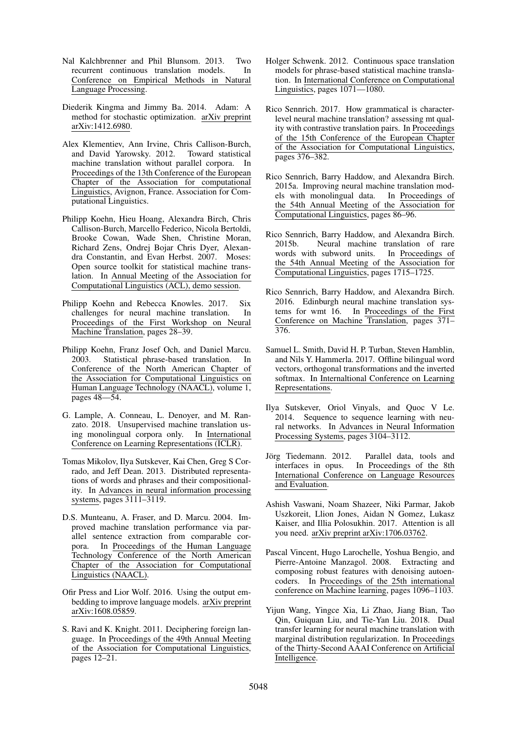- Nal Kalchbrenner and Phil Blunsom. 2013. Two recurrent continuous translation models. In Conference on Empirical Methods in Natural Language Processing.
- Diederik Kingma and Jimmy Ba. 2014. Adam: A method for stochastic optimization. arXiv preprint arXiv:1412.6980.
- Alex Klementiev, Ann Irvine, Chris Callison-Burch, and David Yarowsky. 2012. Toward statistical machine translation without parallel corpora. In Proceedings of the 13th Conference of the European Chapter of the Association for computational Linguistics, Avignon, France. Association for Computational Linguistics.
- Philipp Koehn, Hieu Hoang, Alexandra Birch, Chris Callison-Burch, Marcello Federico, Nicola Bertoldi, Brooke Cowan, Wade Shen, Christine Moran, Richard Zens, Ondrej Bojar Chris Dyer, Alexandra Constantin, and Evan Herbst. 2007. Moses: Open source toolkit for statistical machine translation. In Annual Meeting of the Association for Computational Linguistics (ACL), demo session.
- Philipp Koehn and Rebecca Knowles. 2017. Six challenges for neural machine translation. In Proceedings of the First Workshop on Neural Machine Translation, pages 28–39.
- Philipp Koehn, Franz Josef Och, and Daniel Marcu. 2003. Statistical phrase-based translation. In Conference of the North American Chapter of the Association for Computational Linguistics on Human Language Technology (NAACL), volume 1, pages 48––54.
- G. Lample, A. Conneau, L. Denoyer, and M. Ranzato. 2018. Unsupervised machine translation using monolingual corpora only. In International Conference on Learning Representations (ICLR).
- Tomas Mikolov, Ilya Sutskever, Kai Chen, Greg S Corrado, and Jeff Dean. 2013. Distributed representations of words and phrases and their compositionality. In Advances in neural information processing systems, pages 3111–3119.
- D.S. Munteanu, A. Fraser, and D. Marcu. 2004. Improved machine translation performance via parallel sentence extraction from comparable corpora. In Proceedings of the Human Language Technology Conference of the North American Chapter of the Association for Computational Linguistics (NAACL).
- Ofir Press and Lior Wolf. 2016. Using the output embedding to improve language models. arXiv preprint arXiv:1608.05859.
- S. Ravi and K. Knight. 2011. Deciphering foreign language. In Proceedings of the 49th Annual Meeting of the Association for Computational Linguistics, pages 12–21.
- Holger Schwenk. 2012. Continuous space translation models for phrase-based statistical machine translation. In International Conference on Computational Linguistics, pages 1071–1080.
- Rico Sennrich. 2017. How grammatical is characterlevel neural machine translation? assessing mt quality with contrastive translation pairs. In Proceedings of the 15th Conference of the European Chapter of the Association for Computational Linguistics, pages 376–382.
- Rico Sennrich, Barry Haddow, and Alexandra Birch. 2015a. Improving neural machine translation models with monolingual data. In Proceedings of the 54th Annual Meeting of the Association for Computational Linguistics, pages 86–96.
- Rico Sennrich, Barry Haddow, and Alexandra Birch. 2015b. Neural machine translation of rare words with subword units. the 54th Annual Meeting of the Association for Computational Linguistics, pages 1715–1725.
- Rico Sennrich, Barry Haddow, and Alexandra Birch. 2016. Edinburgh neural machine translation systems for wmt 16. In Proceedings of the First Conference on Machine Translation, pages 371– 376.
- Samuel L. Smith, David H. P. Turban, Steven Hamblin, and Nils Y. Hammerla. 2017. Offline bilingual word vectors, orthogonal transformations and the inverted softmax. In Internaltional Conference on Learning Representations.
- Ilya Sutskever, Oriol Vinyals, and Quoc V Le. 2014. Sequence to sequence learning with neural networks. In Advances in Neural Information Processing Systems, pages 3104–3112.
- Jörg Tiedemann. 2012. Parallel data, tools and interfaces in opus. In Proceedings of the 8th International Conference on Language Resources and Evaluation.
- Ashish Vaswani, Noam Shazeer, Niki Parmar, Jakob Uszkoreit, Llion Jones, Aidan N Gomez, Lukasz Kaiser, and Illia Polosukhin. 2017. Attention is all you need. arXiv preprint arXiv:1706.03762.
- Pascal Vincent, Hugo Larochelle, Yoshua Bengio, and Pierre-Antoine Manzagol. 2008. Extracting and composing robust features with denoising autoencoders. In Proceedings of the 25th international conference on Machine learning, pages 1096–1103.
- Yijun Wang, Yingce Xia, Li Zhao, Jiang Bian, Tao Qin, Guiquan Liu, and Tie-Yan Liu. 2018. Dual transfer learning for neural machine translation with marginal distribution regularization. In Proceedings of the Thirty-Second AAAI Conference on Artificial Intelligence.